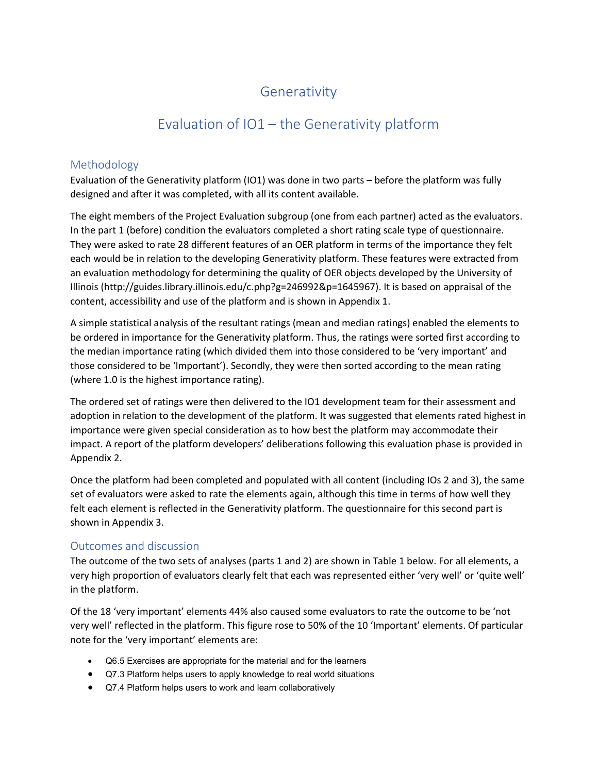## Generativity

## Evaluation of IO1 – the Generativity platform

### Methodology

Evaluation of the Generativity platform (IO1) was done in two parts – before the platform was fully designed and after it was completed, with all its content available.

The eight members of the Project Evaluation subgroup (one from each partner) acted as the evaluators. In the part 1 (before) condition the evaluators completed a short rating scale type of questionnaire. They were asked to rate 28 different features of an OER platform in terms of the importance they felt each would be in relation to the developing Generativity platform. These features were extracted from an evaluation methodology for determining the quality of OER objects developed by the University of Illinois (http://guides.library.illinois.edu/c.php?g=246992&p=1645967). It is based on appraisal of the content, accessibility and use of the platform and is shown in Appendix 1.

A simple statistical analysis of the resultant ratings (mean and median ratings) enabled the elements to be ordered in importance for the Generativity platform. Thus, the ratings were sorted first according to the median importance rating (which divided them into those considered to be 'very important' and those considered to be 'Important'). Secondly, they were then sorted according to the mean rating (where 1.0 is the highest importance rating).

The ordered set of ratings were then delivered to the IO1 development team for their assessment and adoption in relation to the development of the platform. It was suggested that elements rated highest in importance were given special consideration as to how best the platform may accommodate their impact. A report of the platform developers' deliberations following this evaluation phase is provided in Appendix 2.

Once the platform had been completed and populated with all content (including IOs 2 and 3), the same set of evaluators were asked to rate the elements again, although this time in terms of how well they felt each element is reflected in the Generativity platform. The questionnaire for this second part is shown in Appendix 3.

### Outcomes and discussion

The outcome of the two sets of analyses (parts 1 and 2) are shown in Table 1 below. For all elements, a very high proportion of evaluators clearly felt that each was represented either 'very well' or 'quite well' in the platform.

Of the 18 'very important' elements 44% also caused some evaluators to rate the outcome to be 'not very well' reflected in the platform. This figure rose to 50% of the 10 'Important' elements. Of particular note for the 'very important' elements are:

- Q6.5 Exercises are appropriate for the material and for the learners
- Q7.3 Platform helps users to apply knowledge to real world situations
- Q7.4 Platform helps users to work and learn collaboratively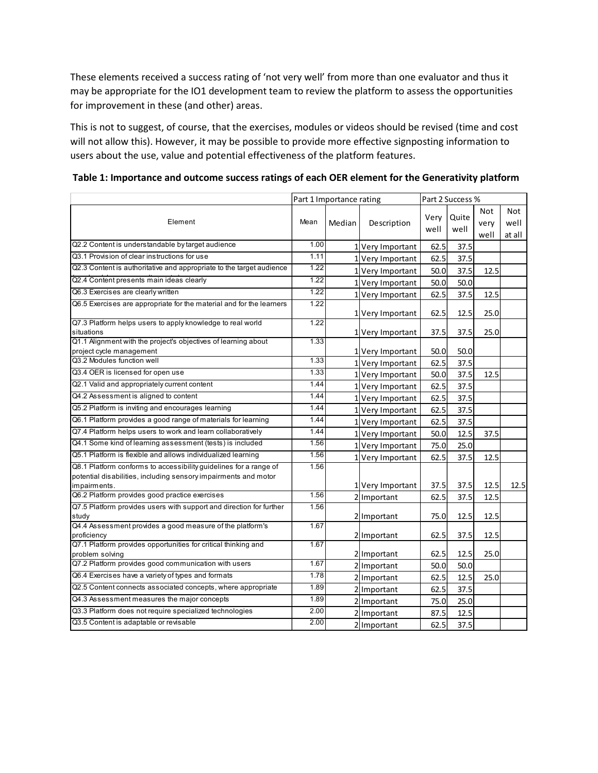| These elements received a success rating of 'not very well' from more than one evaluator and thus it<br>may be appropriate for the IO1 development team to review the platform to assess the opportunities<br>for improvement in these (and other) areas.                                                                                                                                                    |                   |                          |                  |      |                  |              |             |
|--------------------------------------------------------------------------------------------------------------------------------------------------------------------------------------------------------------------------------------------------------------------------------------------------------------------------------------------------------------------------------------------------------------|-------------------|--------------------------|------------------|------|------------------|--------------|-------------|
| This is not to suggest, of course, that the exercises, modules or videos should be revised (time and cost<br>will not allow this). However, it may be possible to provide more effective signposting information to<br>users about the use, value and potential effectiveness of the platform features.<br>Table 1: Importance and outcome success ratings of each OER element for the Generativity platform |                   |                          |                  |      |                  |              |             |
|                                                                                                                                                                                                                                                                                                                                                                                                              |                   |                          |                  |      |                  |              |             |
|                                                                                                                                                                                                                                                                                                                                                                                                              |                   |                          |                  |      |                  |              |             |
|                                                                                                                                                                                                                                                                                                                                                                                                              |                   |                          |                  |      |                  |              |             |
|                                                                                                                                                                                                                                                                                                                                                                                                              |                   |                          |                  |      |                  |              |             |
|                                                                                                                                                                                                                                                                                                                                                                                                              |                   |                          |                  |      | Part 2 Success % |              |             |
|                                                                                                                                                                                                                                                                                                                                                                                                              |                   | Part 1 Importance rating |                  |      |                  |              |             |
| Element                                                                                                                                                                                                                                                                                                                                                                                                      | Mean              | Median                   | Description      | Very | Quite            | Not          | Not<br>well |
|                                                                                                                                                                                                                                                                                                                                                                                                              |                   |                          |                  | well | well             | very<br>well | at all      |
| Q2.2 Content is understandable by target audience                                                                                                                                                                                                                                                                                                                                                            | 1.00              |                          | 1 Very Important | 62.5 | 37.5             |              |             |
| Q3.1 Provision of clear instructions for use                                                                                                                                                                                                                                                                                                                                                                 | 1.11              |                          | 1 Very Important | 62.5 | 37.5             |              |             |
| Q2.3 Content is authoritative and appropriate to the target audience                                                                                                                                                                                                                                                                                                                                         | 1.22              |                          | 1 Very Important | 50.0 | 37.5             | 12.5         |             |
| Q2.4 Content presents main ideas clearly                                                                                                                                                                                                                                                                                                                                                                     | $\overline{1.22}$ |                          | 1 Very Important | 50.0 | 50.0             |              |             |
| Q6.3 Exercises are clearly written                                                                                                                                                                                                                                                                                                                                                                           | 1.22              |                          | 1 Very Important | 62.5 | 37.5             | 12.5         |             |
| Q6.5 Exercises are appropriate for the material and for the learners                                                                                                                                                                                                                                                                                                                                         | 1.22              |                          |                  |      |                  |              |             |
|                                                                                                                                                                                                                                                                                                                                                                                                              |                   |                          | 1Very Important  | 62.5 | 12.5             | 25.0         |             |
| Q7.3 Platform helps users to apply knowledge to real world                                                                                                                                                                                                                                                                                                                                                   | $\overline{1.22}$ |                          |                  |      |                  |              |             |
| situations<br>Q1.1 Alignment with the project's objectives of learning about                                                                                                                                                                                                                                                                                                                                 | 1.33              |                          | 1 Very Important | 37.5 | 37.5             | 25.0         |             |
| project cycle management                                                                                                                                                                                                                                                                                                                                                                                     |                   |                          | 1 Very Important | 50.0 | 50.0             |              |             |
| Q3.2 Modules function well                                                                                                                                                                                                                                                                                                                                                                                   | 1.33              |                          | 1Very Important  | 62.5 | 37.5             |              |             |
| Q3.4 OER is licensed for open use                                                                                                                                                                                                                                                                                                                                                                            | 1.33              |                          | 1 Very Important | 50.0 | 37.5             | 12.5         |             |
| Q2.1 Valid and appropriately current content                                                                                                                                                                                                                                                                                                                                                                 | 1.44              |                          | 1 Very Important | 62.5 | 37.5             |              |             |
| Q4.2 Assessment is aligned to content                                                                                                                                                                                                                                                                                                                                                                        | 1.44              |                          | 1 Very Important | 62.5 | 37.5             |              |             |
| Q5.2 Platform is inviting and encourages learning                                                                                                                                                                                                                                                                                                                                                            | 1.44              |                          | 1 Very Important | 62.5 | 37.5             |              |             |
| Q6.1 Platform provides a good range of materials for learning                                                                                                                                                                                                                                                                                                                                                | 1.44              |                          | 1 Very Important | 62.5 | 37.5             |              |             |
| Q7.4 Platform helps users to work and learn collaboratively                                                                                                                                                                                                                                                                                                                                                  | 1.44              |                          | 1 Very Important | 50.0 | 12.5             | 37.5         |             |
| Q4.1 Some kind of learning assessment (tests) is included                                                                                                                                                                                                                                                                                                                                                    | 1.56              |                          | 1 Very Important | 75.0 | 25.0             |              |             |
| Q5.1 Platform is flexible and allows individualized learning                                                                                                                                                                                                                                                                                                                                                 | 1.56              |                          | 1 Very Important | 62.5 | 37.5             | 12.5         |             |
| Q8.1 Platform conforms to accessibility guidelines for a range of                                                                                                                                                                                                                                                                                                                                            | 1.56              |                          |                  |      |                  |              |             |
| potential disabilities, including sensory impairments and motor                                                                                                                                                                                                                                                                                                                                              |                   |                          |                  |      |                  |              |             |
| impairments.<br>Q6.2 Platform provides good practice exercises                                                                                                                                                                                                                                                                                                                                               | 1.56              |                          | 1 Very Important | 37.5 | 37.5             | 12.5         | 12.5        |
| Q7.5 Platform provides users with support and direction for further                                                                                                                                                                                                                                                                                                                                          | 1.56              |                          | 2 Important      | 62.5 | 37.5             | 12.5         |             |
| study                                                                                                                                                                                                                                                                                                                                                                                                        |                   |                          | 2 Important      | 75.0 | 12.5             | 12.5         |             |
| Q4.4 Assessment provides a good measure of the platform's                                                                                                                                                                                                                                                                                                                                                    | 1.67              |                          |                  |      |                  |              |             |
| proficiency<br>Q7.1 Platform provides opportunities for critical thinking and                                                                                                                                                                                                                                                                                                                                | 1.67              |                          | 2 Important      | 62.5 | 37.5             | 12.5         |             |
| problem solving                                                                                                                                                                                                                                                                                                                                                                                              |                   |                          | 2 Important      | 62.5 | 12.5             | 25.0         |             |
| Q7.2 Platform provides good communication with users                                                                                                                                                                                                                                                                                                                                                         | 1.67              |                          | 2 Important      | 50.0 | 50.0             |              |             |
| Q6.4 Exercises have a variety of types and formats                                                                                                                                                                                                                                                                                                                                                           | 1.78              |                          | 2 Important      | 62.5 | 12.5             | 25.0         |             |
| Q2.5 Content connects associated concepts, where appropriate                                                                                                                                                                                                                                                                                                                                                 | 1.89              |                          | Important        | 62.5 | 37.5             |              |             |
| Q4.3 Assessment measures the major concepts                                                                                                                                                                                                                                                                                                                                                                  | 1.89              |                          | Important        | 75.0 | 25.0             |              |             |
|                                                                                                                                                                                                                                                                                                                                                                                                              | 2.00              |                          | Important        | 87.5 | 12.5             |              |             |
| Q3.3 Platform does not require specialized technologies                                                                                                                                                                                                                                                                                                                                                      | 2.00              |                          | 2 Important      |      |                  |              |             |

Table 1: Importance and outcome success ratings of each OER element for the Generativity platform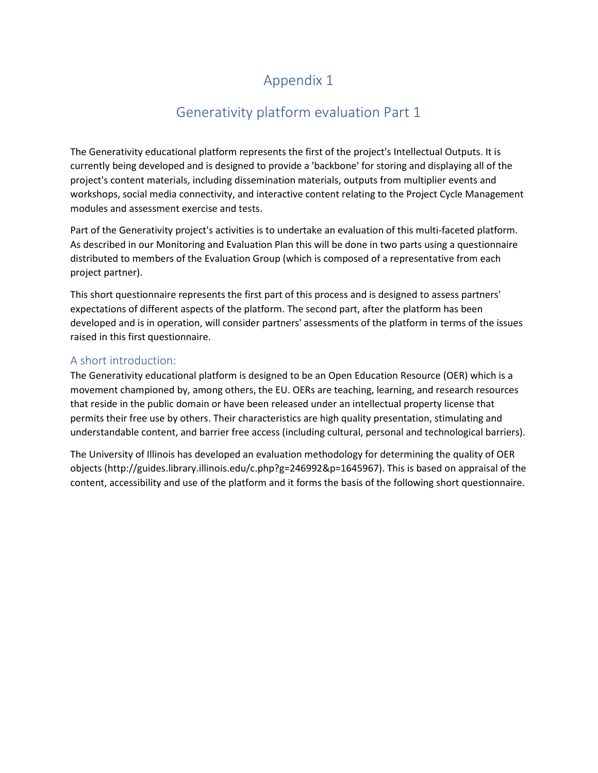# Appendix 1

# Generativity platform evaluation Part 1

The Generativity educational platform represents the first of the project's Intellectual Outputs. It is currently being developed and is designed to provide a 'backbone' for storing and displaying all of the project's content materials, including dissemination materials, outputs from multiplier events and workshops, social media connectivity, and interactive content relating to the Project Cycle Management modules and assessment exercise and tests.

Part of the Generativity project's activities is to undertake an evaluation of this multi-faceted platform. As described in our Monitoring and Evaluation Plan this will be done in two parts using a questionnaire distributed to members of the Evaluation Group (which is composed of a representative from each project partner).

This short questionnaire represents the first part of this process and is designed to assess partners' expectations of different aspects of the platform. The second part, after the platform has been developed and is in operation, will consider partners' assessments of the platform in terms of the issues raised in this first questionnaire.

#### A short introduction:

The Generativity educational platform is designed to be an Open Education Resource (OER) which is a movement championed by, among others, the EU. OERs are teaching, learning, and research resources that reside in the public domain or have been released under an intellectual property license that permits their free use by others. Their characteristics are high quality presentation, stimulating and understandable content, and barrier free access (including cultural, personal and technological barriers).

The University of Illinois has developed an evaluation methodology for determining the quality of OER objects (http://guides.library.illinois.edu/c.php?g=246992&p=1645967). This is based on appraisal of the content, accessibility and use of the platform and it forms the basis of the following short questionnaire.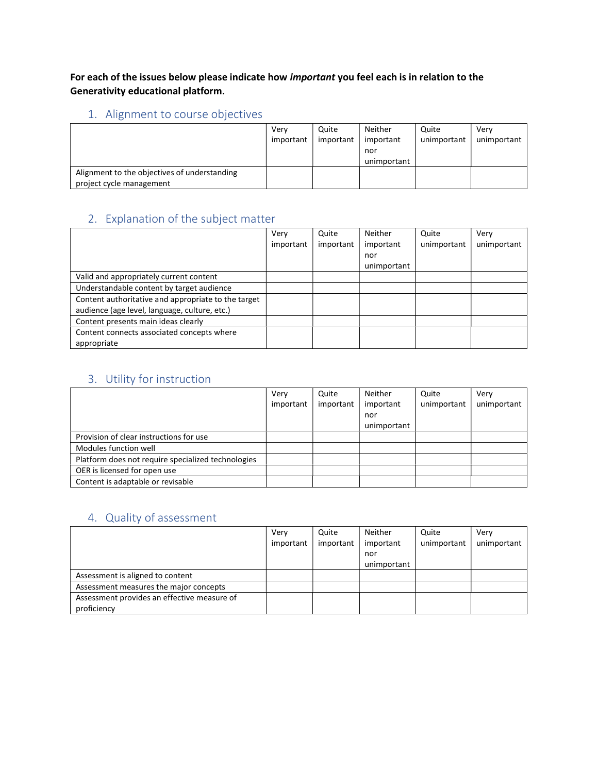For each of the issues below please indicate how important you feel each is in relation to the Generativity educational platform.

### 1. Alignment to course objectives

|                                                                          | Verv<br>important | Quite<br>important | Neither<br>important<br>nor<br>unimportant | Quite<br>unimportant | Verv<br>unimportant |
|--------------------------------------------------------------------------|-------------------|--------------------|--------------------------------------------|----------------------|---------------------|
| Alignment to the objectives of understanding<br>project cycle management |                   |                    |                                            |                      |                     |

### 2. Explanation of the subject matter

|                                                     | Very      | Quite     | Neither     | Quite       | Verv        |
|-----------------------------------------------------|-----------|-----------|-------------|-------------|-------------|
|                                                     | important | important | important   | unimportant | unimportant |
|                                                     |           |           | nor         |             |             |
|                                                     |           |           | unimportant |             |             |
| Valid and appropriately current content             |           |           |             |             |             |
| Understandable content by target audience           |           |           |             |             |             |
| Content authoritative and appropriate to the target |           |           |             |             |             |
| audience (age level, language, culture, etc.)       |           |           |             |             |             |
| Content presents main ideas clearly                 |           |           |             |             |             |
| Content connects associated concepts where          |           |           |             |             |             |
| appropriate                                         |           |           |             |             |             |

### 3. Utility for instruction

|                                                    | Verv      | Quite     | Neither     | Quite       | Verv        |
|----------------------------------------------------|-----------|-----------|-------------|-------------|-------------|
|                                                    | important | important | important   | unimportant | unimportant |
|                                                    |           |           | nor         |             |             |
|                                                    |           |           | unimportant |             |             |
| Provision of clear instructions for use            |           |           |             |             |             |
| Modules function well                              |           |           |             |             |             |
| Platform does not require specialized technologies |           |           |             |             |             |
| OER is licensed for open use                       |           |           |             |             |             |
| Content is adaptable or revisable                  |           |           |             |             |             |

### 4. Quality of assessment

|                                             | Verv      | Quite     | Neither     | Quite       | Verv        |
|---------------------------------------------|-----------|-----------|-------------|-------------|-------------|
|                                             | important | important | important   | unimportant | unimportant |
|                                             |           |           | nor         |             |             |
|                                             |           |           | unimportant |             |             |
| Assessment is aligned to content            |           |           |             |             |             |
| Assessment measures the major concepts      |           |           |             |             |             |
| Assessment provides an effective measure of |           |           |             |             |             |
| proficiency                                 |           |           |             |             |             |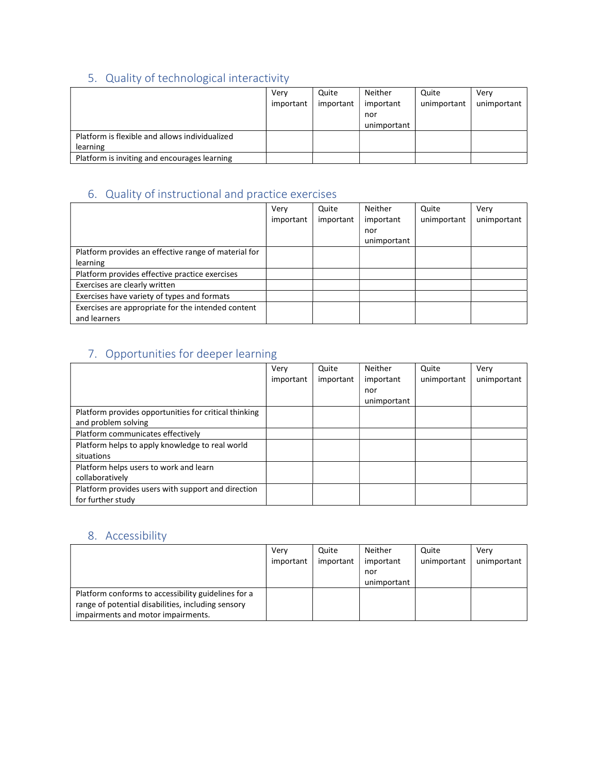# 5. Quality of technological interactivity

|                                                | Very      | Quite     | Neither     | Quite       | Verv        |
|------------------------------------------------|-----------|-----------|-------------|-------------|-------------|
|                                                | important | important | important   | unimportant | unimportant |
|                                                |           |           | nor         |             |             |
|                                                |           |           | unimportant |             |             |
| Platform is flexible and allows individualized |           |           |             |             |             |
| learning                                       |           |           |             |             |             |
| Platform is inviting and encourages learning   |           |           |             |             |             |

## 6. Quality of instructional and practice exercises

|                                                      | Very      | Quite     | Neither     | Quite       | Very        |
|------------------------------------------------------|-----------|-----------|-------------|-------------|-------------|
|                                                      | important | important | important   | unimportant | unimportant |
|                                                      |           |           | nor         |             |             |
|                                                      |           |           | unimportant |             |             |
| Platform provides an effective range of material for |           |           |             |             |             |
| learning                                             |           |           |             |             |             |
| Platform provides effective practice exercises       |           |           |             |             |             |
| Exercises are clearly written                        |           |           |             |             |             |
| Exercises have variety of types and formats          |           |           |             |             |             |
| Exercises are appropriate for the intended content   |           |           |             |             |             |
| and learners                                         |           |           |             |             |             |

## 7. Opportunities for deeper learning

|                                                       | Very      | Quite     | Neither     | Quite       | Very        |
|-------------------------------------------------------|-----------|-----------|-------------|-------------|-------------|
|                                                       | important | important | important   | unimportant | unimportant |
|                                                       |           |           | nor         |             |             |
|                                                       |           |           | unimportant |             |             |
| Platform provides opportunities for critical thinking |           |           |             |             |             |
| and problem solving                                   |           |           |             |             |             |
| Platform communicates effectively                     |           |           |             |             |             |
| Platform helps to apply knowledge to real world       |           |           |             |             |             |
| situations                                            |           |           |             |             |             |
| Platform helps users to work and learn                |           |           |             |             |             |
| collaboratively                                       |           |           |             |             |             |
| Platform provides users with support and direction    |           |           |             |             |             |
| for further study                                     |           |           |             |             |             |

### 8. Accessibility

|                                                     | Verv      | Quite     | Neither     | Quite       | Verv        |
|-----------------------------------------------------|-----------|-----------|-------------|-------------|-------------|
|                                                     | important | important | important   | unimportant | unimportant |
|                                                     |           |           | nor         |             |             |
|                                                     |           |           | unimportant |             |             |
| Platform conforms to accessibility guidelines for a |           |           |             |             |             |
| range of potential disabilities, including sensory  |           |           |             |             |             |
| impairments and motor impairments.                  |           |           |             |             |             |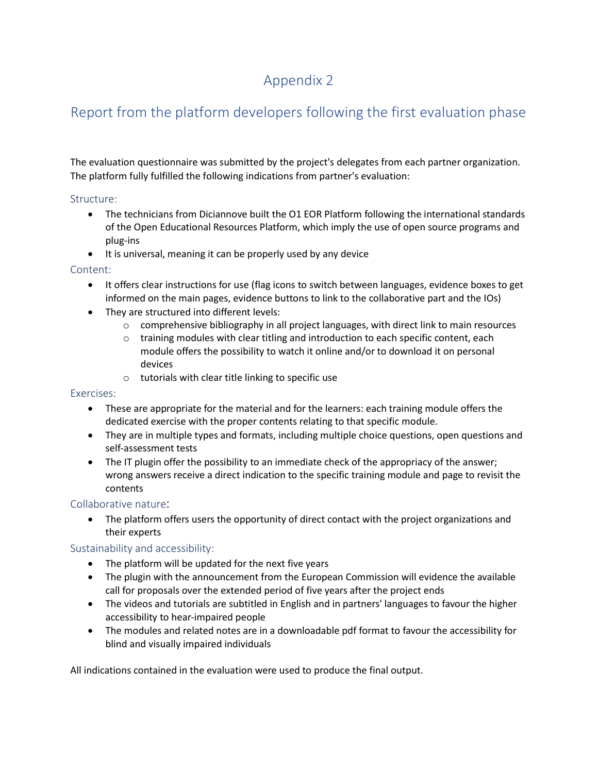# Appendix 2

# Report from the platform developers following the first evaluation phase

The evaluation questionnaire was submitted by the project's delegates from each partner organization. The platform fully fulfilled the following indications from partner's evaluation:

#### Structure:

- The technicians from Diciannove built the O1 EOR Platform following the international standards of the Open Educational Resources Platform, which imply the use of open source programs and plug-ins
- It is universal, meaning it can be properly used by any device

#### Content:

- It offers clear instructions for use (flag icons to switch between languages, evidence boxes to get informed on the main pages, evidence buttons to link to the collaborative part and the IOs)
- They are structured into different levels:
	- $\circ$  comprehensive bibliography in all project languages, with direct link to main resources
	- $\circ$  training modules with clear titling and introduction to each specific content, each module offers the possibility to watch it online and/or to download it on personal devices
	- o tutorials with clear title linking to specific use

#### Exercises:

- These are appropriate for the material and for the learners: each training module offers the dedicated exercise with the proper contents relating to that specific module.
- They are in multiple types and formats, including multiple choice questions, open questions and self-assessment tests
- The IT plugin offer the possibility to an immediate check of the appropriacy of the answer; wrong answers receive a direct indication to the specific training module and page to revisit the contents

#### Collaborative nature:

• The platform offers users the opportunity of direct contact with the project organizations and their experts

#### Sustainability and accessibility:

- The platform will be updated for the next five years
- The plugin with the announcement from the European Commission will evidence the available call for proposals over the extended period of five years after the project ends
- The videos and tutorials are subtitled in English and in partners' languages to favour the higher accessibility to hear-impaired people
- The modules and related notes are in a downloadable pdf format to favour the accessibility for blind and visually impaired individuals

All indications contained in the evaluation were used to produce the final output.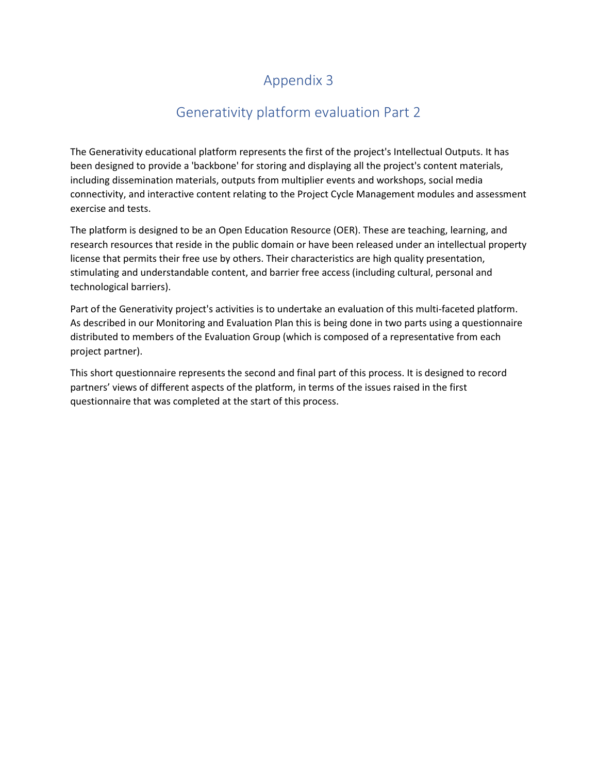# Appendix 3

## Generativity platform evaluation Part 2

The Generativity educational platform represents the first of the project's Intellectual Outputs. It has been designed to provide a 'backbone' for storing and displaying all the project's content materials, including dissemination materials, outputs from multiplier events and workshops, social media connectivity, and interactive content relating to the Project Cycle Management modules and assessment exercise and tests.

The platform is designed to be an Open Education Resource (OER). These are teaching, learning, and research resources that reside in the public domain or have been released under an intellectual property license that permits their free use by others. Their characteristics are high quality presentation, stimulating and understandable content, and barrier free access (including cultural, personal and technological barriers).

Part of the Generativity project's activities is to undertake an evaluation of this multi-faceted platform. As described in our Monitoring and Evaluation Plan this is being done in two parts using a questionnaire distributed to members of the Evaluation Group (which is composed of a representative from each project partner).

This short questionnaire represents the second and final part of this process. It is designed to record partners' views of different aspects of the platform, in terms of the issues raised in the first questionnaire that was completed at the start of this process.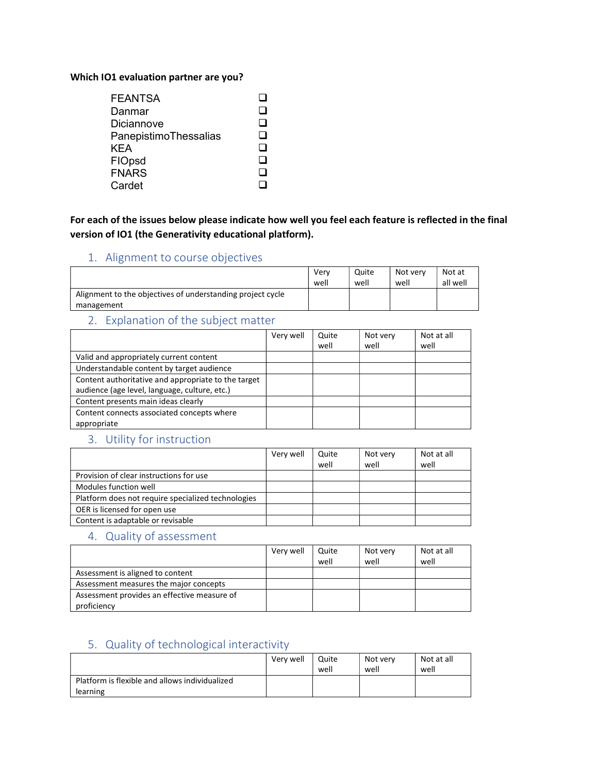#### Which IO1 evaluation partner are you?

| <b>FEANTSA</b>        |     |
|-----------------------|-----|
| Danmar                | l I |
| Diciannove            |     |
| PanepistimoThessalias | - 1 |
| KEA                   |     |
| FIOpsd                | - 1 |
| <b>FNARS</b>          |     |
| Cardet                |     |

For each of the issues below please indicate how well you feel each feature is reflected in the final version of IO1 (the Generativity educational platform).

#### 1. Alignment to course objectives

|                                                            | Verv<br>well | Quite<br>well | Not verv<br>well | Not at<br>all well |
|------------------------------------------------------------|--------------|---------------|------------------|--------------------|
| Alignment to the objectives of understanding project cycle |              |               |                  |                    |
| management                                                 |              |               |                  |                    |

#### 2. Explanation of the subject matter

|                                                     | Very well | Quite | Not very | Not at all |
|-----------------------------------------------------|-----------|-------|----------|------------|
|                                                     |           | well  | well     | well       |
| Valid and appropriately current content             |           |       |          |            |
| Understandable content by target audience           |           |       |          |            |
| Content authoritative and appropriate to the target |           |       |          |            |
| audience (age level, language, culture, etc.)       |           |       |          |            |
| Content presents main ideas clearly                 |           |       |          |            |
| Content connects associated concepts where          |           |       |          |            |
| appropriate                                         |           |       |          |            |

#### 3. Utility for instruction

|                                                    | Very well | Quite<br>well | Not very<br>well | Not at all<br>well |
|----------------------------------------------------|-----------|---------------|------------------|--------------------|
| Provision of clear instructions for use            |           |               |                  |                    |
| Modules function well                              |           |               |                  |                    |
| Platform does not require specialized technologies |           |               |                  |                    |
| OER is licensed for open use                       |           |               |                  |                    |
| Content is adaptable or revisable                  |           |               |                  |                    |

#### 4. Quality of assessment

|                                                            | Very well | Quite<br>well | Not very<br>well | Not at all<br>well |
|------------------------------------------------------------|-----------|---------------|------------------|--------------------|
| Assessment is aligned to content                           |           |               |                  |                    |
| Assessment measures the major concepts                     |           |               |                  |                    |
| Assessment provides an effective measure of<br>proficiency |           |               |                  |                    |

### 5. Quality of technological interactivity

|                                                | Very well | Quite<br>well | Not verv<br>well | Not at all<br>weli |
|------------------------------------------------|-----------|---------------|------------------|--------------------|
| Platform is flexible and allows individualized |           |               |                  |                    |
| learning                                       |           |               |                  |                    |